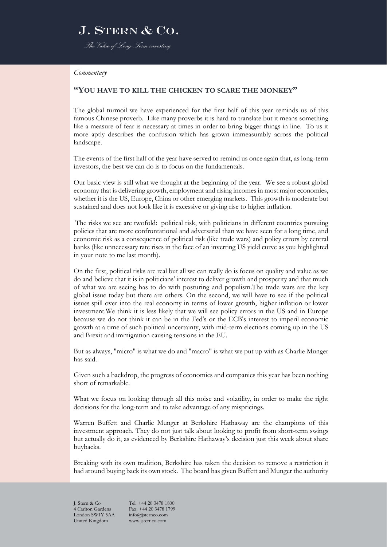### J. STERN & CO. *The Value of Long-Term investing*

*Commentary*

#### **"YOU HAVE TO KILL THE CHICKEN TO SCARE THE MONKEY"**

The global turmoil we have experienced for the first half of this year reminds us of this famous Chinese proverb. Like many proverbs it is hard to translate but it means something like a measure of fear is necessary at times in order to bring bigger things in line. To us it more aptly describes the confusion which has grown immeasurably across the political landscape.

The events of the first half of the year have served to remind us once again that, as long-term investors, the best we can do is to focus on the fundamentals.

Our basic view is still what we thought at the beginning of the year. We see a robust global economy that is delivering growth, employment and rising incomes in most major economies, whether it is the US, Europe, China or other emerging markets. This growth is moderate but sustained and does not look like it is excessive or giving rise to higher inflation.

The risks we see are twofold: political risk, with politicians in different countries pursuing policies that are more confrontational and adversarial than we have seen for a long time, and economic risk as a consequence of political risk (like trade wars) and policy errors by central banks (like unnecessary rate rises in the face of an inverting US yield curve as you highlighted in your note to me last month).

On the first, political risks are real but all we can really do is focus on quality and value as we do and believe that it is in politicians' interest to deliver growth and prosperity and that much of what we are seeing has to do with posturing and populism.The trade wars are the key global issue today but there are others. On the second, we will have to see if the political issues spill over into the real economy in terms of lower growth, higher inflation or lower investment.We think it is less likely that we will see policy errors in the US and in Europe because we do not think it can be in the Fed's or the ECB's interest to imperil economic growth at a time of such political uncertainty, with mid-term elections coming up in the US and Brexit and immigration causing tensions in the EU.

But as always, "micro" is what we do and "macro" is what we put up with as Charlie Munger has said.

Given such a backdrop, the progress of economies and companies this year has been nothing short of remarkable.

What we focus on looking through all this noise and volatility, in order to make the right decisions for the long-term and to take advantage of any mispricings.

Warren Buffett and Charlie Munger at Berkshire Hathaway are the champions of this investment approach. They do not just talk about looking to profit from short-term swings but actually do it, as evidenced by Berkshire Hathaway's decision just this week about share buybacks.

Breaking with its own tradition, Berkshire has taken the decision to remove a restriction it had around buying back its own stock. The board has given Buffett and Munger the authority

London SW1Y 5AA United Kingdom www.jsternco.com

J. Stern & Co Tel: +44 20 3478 1800<br>4 Carlton Gardens Fax: +44 20 3478 1799 Fax: +44 20 3478 1799<br>info@isternco.com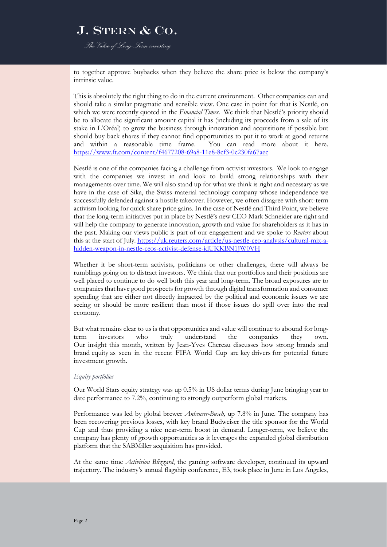*The Value of Long-Term investing*

to together approve buybacks when they believe the share price is below the company's intrinsic value.

This is absolutely the right thing to do in the current environment. Other companies can and should take a similar pragmatic and sensible view. One case in point for that is Nestlé, on which we were recently quoted in the *Financial Times*. We think that Nestlé's priority should be to allocate the significant amount capital it has (including its proceeds from a sale of its stake in L'Oréal) to grow the business through innovation and acquisitions if possible but should buy back shares if they cannot find opportunities to put it to work at good returns and within a reasonable time frame. You can read more about it here. <https://www.ft.com/content/f4677208-69a8-11e8-8cf3-0c230fa67aec>

Nestlé is one of the companies facing a challenge from activist investors. We look to engage with the companies we invest in and look to build strong relationships with their managements over time. We will also stand up for what we think is right and necessary as we have in the case of Sika, the Swiss material technology company whose independence we successfully defended against a hostile takeover. However, we often disagree with short-term activism looking for quick share price gains. In the case of Nestlé and Third Point, we believe that the long-term initiatives put in place by Nestlé's new CEO Mark Schneider are right and will help the company to generate innovation, growth and value for shareholders as it has in the past. Making our views public is part of our engagement and we spoke to *Reuters* about this at the start of July[. https://uk.reuters.com/article/us-nestle-ceo-analysis/cultural-mix-a](https://uk.reuters.com/article/us-nestle-ceo-analysis/cultural-mix-a-hidden-weapon-in-nestle-ceos-activist-defense-idUKKBN1JW0VH)[hidden-weapon-in-nestle-ceos-activist-defense-idUKKBN1JW0VH](https://uk.reuters.com/article/us-nestle-ceo-analysis/cultural-mix-a-hidden-weapon-in-nestle-ceos-activist-defense-idUKKBN1JW0VH)

Whether it be short-term activists, politicians or other challenges, there will always be rumblings going on to distract investors. We think that our portfolios and their positions are well placed to continue to do well both this year and long-term. The broad exposures are to companies that have good prospects for growth through digital transformation and consumer spending that are either not directly impacted by the political and economic issues we are seeing or should be more resilient than most if those issues do spill over into the real economy.

But what remains clear to us is that opportunities and value will continue to abound for longterm investors who truly understand the companies they own. Our insight this month, written by Jean-Yves Chereau discusses how strong brands and brand equity as seen in the recent FIFA World Cup are key drivers for potential future investment growth.

#### *Equity portfolios*

Our World Stars equity strategy was up 0.5% in US dollar terms during June bringing year to date performance to 7.2%, continuing to strongly outperform global markets.

Performance was led by global brewer *Anheuser-Busch,* up 7.8% in June. The company has been recovering previous losses, with key brand Budweiser the title sponsor for the World Cup and thus providing a nice near-term boost in demand. Longer-term, we believe the company has plenty of growth opportunities as it leverages the expanded global distribution platform that the SABMiller acquisition has provided.

At the same time *Activision Blizzard*, the gaming software developer, continued its upward trajectory. The industry's annual flagship conference, E3, took place in June in Los Angeles,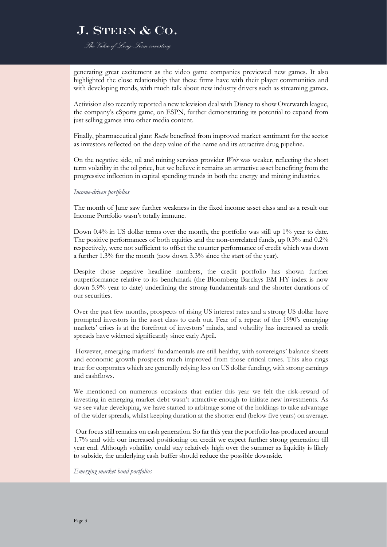*The Value of Long-Term investing*

generating great excitement as the video game companies previewed new games. It also highlighted the close relationship that these firms have with their player communities and with developing trends, with much talk about new industry drivers such as streaming games.

Activision also recently reported a new television deal with Disney to show Overwatch league, the company's eSports game, on ESPN, further demonstrating its potential to expand from just selling games into other media content.

Finally, pharmaceutical giant *Roche* benefited from improved market sentiment for the sector as investors reflected on the deep value of the name and its attractive drug pipeline.

On the negative side, oil and mining services provider *Weir* was weaker, reflecting the short term volatility in the oil price, but we believe it remains an attractive asset benefiting from the progressive inflection in capital spending trends in both the energy and mining industries.

#### *Income-driven portfolios*

The month of June saw further weakness in the fixed income asset class and as a result our Income Portfolio wasn't totally immune.

Down 0.4% in US dollar terms over the month, the portfolio was still up 1% year to date. The positive performances of both equities and the non-correlated funds, up 0.3% and 0.2% respectively, were not sufficient to offset the counter performance of credit which was down a further 1.3% for the month (now down 3.3% since the start of the year).

Despite those negative headline numbers, the credit portfolio has shown further outperformance relative to its benchmark (the Bloomberg Barclays EM HY index is now down 5.9% year to date) underlining the strong fundamentals and the shorter durations of our securities.

Over the past few months, prospects of rising US interest rates and a strong US dollar have prompted investors in the asset class to cash out. Fear of a repeat of the 1990's emerging markets' crises is at the forefront of investors' minds, and volatility has increased as credit spreads have widened significantly since early April.

However, emerging markets' fundamentals are still healthy, with sovereigns' balance sheets and economic growth prospects much improved from those critical times. This also rings true for corporates which are generally relying less on US dollar funding, with strong earnings and cashflows.

We mentioned on numerous occasions that earlier this year we felt the risk-reward of investing in emerging market debt wasn't attractive enough to initiate new investments. As we see value developing, we have started to arbitrage some of the holdings to take advantage of the wider spreads, whilst keeping duration at the shorter end (below five years) on average.

Our focus still remains on cash generation. So far this year the portfolio has produced around 1.7% and with our increased positioning on credit we expect further strong generation till year end. Although volatility could stay relatively high over the summer as liquidity is likely to subside, the underlying cash buffer should reduce the possible downside.

#### *Emerging market bond portfolios*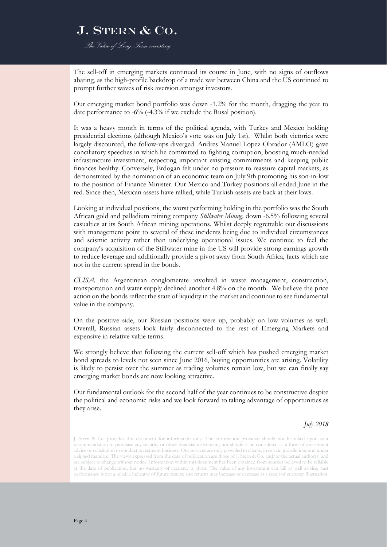*The Value of Long-Term investing*

The sell-off in emerging markets continued its course in June, with no signs of outflows abating, as the high-profile backdrop of a trade war between China and the US continued to prompt further waves of risk aversion amongst investors.

Our emerging market bond portfolio was down -1.2% for the month, dragging the year to date performance to -6% (-4.3% if we exclude the Rusal position).

It was a heavy month in terms of the political agenda, with Turkey and Mexico holding presidential elections (although Mexico's vote was on July 1st). Whilst both victories were largely discounted, the follow-ups diverged. Andres Manuel Lopez Obrador (AMLO) gave conciliatory speeches in which he committed to fighting corruption, boosting much-needed infrastructure investment, respecting important existing commitments and keeping public finances healthy. Conversely, Erdogan felt under no pressure to reassure capital markets, as demonstrated by the nomination of an economic team on July 9th promoting his son-in-low to the position of Finance Minister. Our Mexico and Turkey positions all ended June in the red. Since then, Mexican assets have rallied, while Turkish assets are back at their lows.

Looking at individual positions, the worst performing holding in the portfolio was the South African gold and palladium mining company *Stillwater Mining,* down -6.5% following several casualties at its South African mining operations. Whilst deeply regrettable our discussions with management point to several of these incidents being due to individual circumstances and seismic activity rather than underlying operational issues. We continue to feel the company's acquisition of the Stillwater mine in the US will provide strong earnings growth to reduce leverage and additionally provide a pivot away from South Africa, facts which are not in the current spread in the bonds.

*CLISA,* the Argentinean conglomerate involved in waste management, construction, transportation and water supply declined another 4.8% on the month. We believe the price action on the bonds reflect the state of liquidity in the market and continue to see fundamental value in the company.

On the positive side, our Russian positions were up, probably on low volumes as well. Overall, Russian assets look fairly disconnected to the rest of Emerging Markets and expensive in relative value terms.

We strongly believe that following the current sell-off which has pushed emerging market bond spreads to levels not seen since June 2016, buying opportunities are arising. Volatility is likely to persist over the summer as trading volumes remain low, but we can finally say emerging market bonds are now looking attractive.

Our fundamental outlook for the second half of the year continues to be constructive despite the political and economic risks and we look forward to taking advantage of opportunities as they arise.

*July 2018*

J. Stern & Co. provides this document for information only. The information provided should not be relied upon as a recommendation to purchase any security or other financial instrument, nor should it be considered as a form of investment advice or solicitation to conduct investment business. Our services are only provided to clients, in certain jurisdictions and under a signed mandate. The views expressed from the date of publication are those of J. Stern & Co. and/or the actual author(s) and are subject to change without notice. Information within this document has been obtained from sources believed to be reliable at the date of publication, but no warranty of accuracy is given. The value of any investment can fall as well as rise; past performance is not a reliable indicator of future results; and returns may increase or decrease as a result of currency fluctuation.